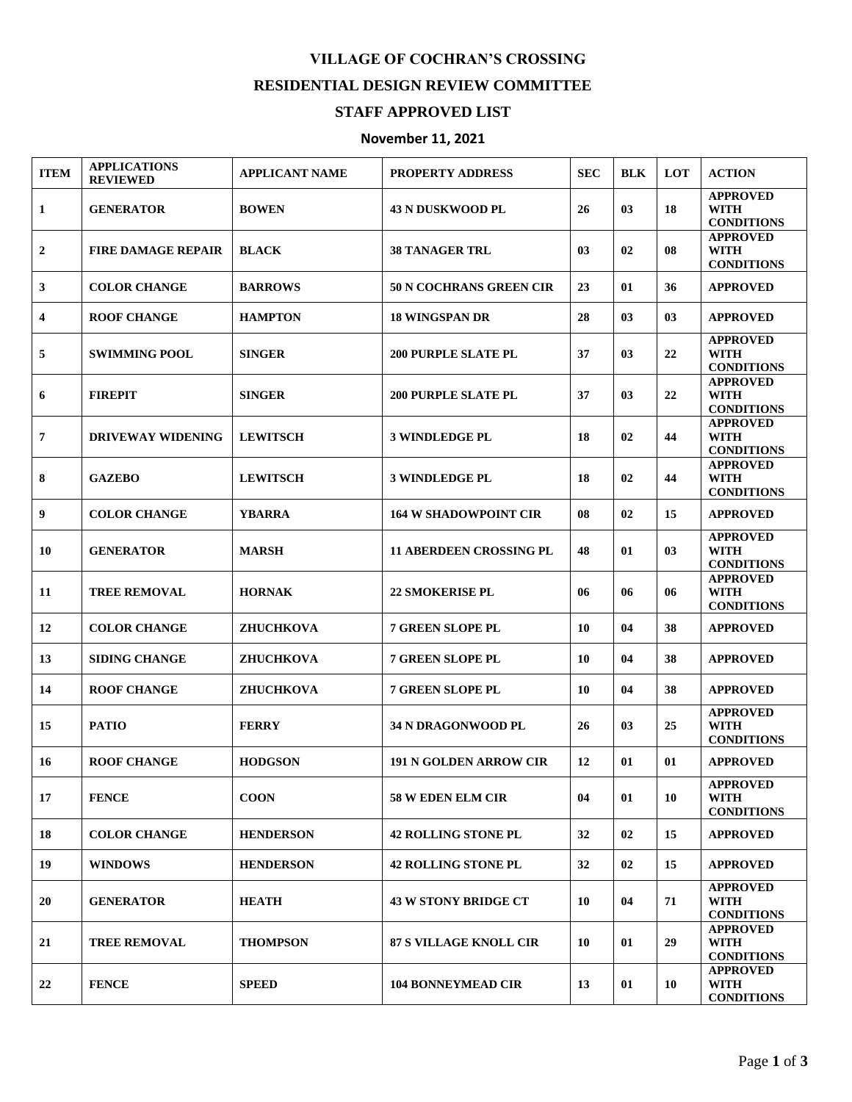## **VILLAGE OF COCHRAN'S CROSSING RESIDENTIAL DESIGN REVIEW COMMITTEE**

## **STAFF APPROVED LIST**

## **November 11, 2021**

| <b>ITEM</b>    | <b>APPLICATIONS</b><br><b>REVIEWED</b> | <b>APPLICANT NAME</b> | <b>PROPERTY ADDRESS</b>        | <b>SEC</b> | <b>BLK</b> | <b>LOT</b> | <b>ACTION</b>                                       |
|----------------|----------------------------------------|-----------------------|--------------------------------|------------|------------|------------|-----------------------------------------------------|
| 1              | <b>GENERATOR</b>                       | <b>BOWEN</b>          | <b>43 N DUSKWOOD PL</b>        | 26         | 03         | 18         | <b>APPROVED</b><br><b>WITH</b><br><b>CONDITIONS</b> |
| $\mathbf{2}$   | <b>FIRE DAMAGE REPAIR</b>              | <b>BLACK</b>          | <b>38 TANAGER TRL</b>          | 03         | 02         | 08         | <b>APPROVED</b><br><b>WITH</b><br><b>CONDITIONS</b> |
| 3              | <b>COLOR CHANGE</b>                    | <b>BARROWS</b>        | <b>50 N COCHRANS GREEN CIR</b> | 23         | 01         | 36         | <b>APPROVED</b>                                     |
| 4              | <b>ROOF CHANGE</b>                     | <b>HAMPTON</b>        | <b>18 WINGSPAN DR</b>          | 28         | 03         | 03         | <b>APPROVED</b>                                     |
| 5              | <b>SWIMMING POOL</b>                   | <b>SINGER</b>         | <b>200 PURPLE SLATE PL</b>     | 37         | 03         | 22         | <b>APPROVED</b><br><b>WITH</b><br><b>CONDITIONS</b> |
| 6              | <b>FIREPIT</b>                         | <b>SINGER</b>         | <b>200 PURPLE SLATE PL</b>     | 37         | 03         | 22         | <b>APPROVED</b><br><b>WITH</b><br><b>CONDITIONS</b> |
| $\overline{7}$ | <b>DRIVEWAY WIDENING</b>               | <b>LEWITSCH</b>       | <b>3 WINDLEDGE PL</b>          | 18         | 02         | 44         | <b>APPROVED</b><br><b>WITH</b><br><b>CONDITIONS</b> |
| 8              | <b>GAZEBO</b>                          | <b>LEWITSCH</b>       | <b>3 WINDLEDGE PL</b>          | 18         | 02         | 44         | <b>APPROVED</b><br><b>WITH</b><br><b>CONDITIONS</b> |
| 9              | <b>COLOR CHANGE</b>                    | <b>YBARRA</b>         | <b>164 W SHADOWPOINT CIR</b>   | 08         | 02         | 15         | <b>APPROVED</b>                                     |
| 10             | <b>GENERATOR</b>                       | <b>MARSH</b>          | <b>11 ABERDEEN CROSSING PL</b> | 48         | 01         | 03         | <b>APPROVED</b><br><b>WITH</b><br><b>CONDITIONS</b> |
| 11             | <b>TREE REMOVAL</b>                    | <b>HORNAK</b>         | <b>22 SMOKERISE PL</b>         | 06         | 06         | 06         | <b>APPROVED</b><br><b>WITH</b><br><b>CONDITIONS</b> |
| 12             | <b>COLOR CHANGE</b>                    | <b>ZHUCHKOVA</b>      | <b>7 GREEN SLOPE PL</b>        | 10         | 04         | 38         | <b>APPROVED</b>                                     |
| 13             | <b>SIDING CHANGE</b>                   | ZHUCHKOVA             | <b>7 GREEN SLOPE PL</b>        | 10         | 04         | 38         | <b>APPROVED</b>                                     |
| 14             | <b>ROOF CHANGE</b>                     | ZHUCHKOVA             | <b>7 GREEN SLOPE PL</b>        | 10         | 04         | 38         | <b>APPROVED</b>                                     |
| 15             | <b>PATIO</b>                           | <b>FERRY</b>          | <b>34 N DRAGONWOOD PL</b>      | 26         | 03         | 25         | <b>APPROVED</b><br><b>WITH</b><br><b>CONDITIONS</b> |
| 16             | <b>ROOF CHANGE</b>                     | <b>HODGSON</b>        | <b>191 N GOLDEN ARROW CIR</b>  | 12         | 01         | 01         | <b>APPROVED</b>                                     |
| 17             | <b>FENCE</b>                           | <b>COON</b>           | <b>58 W EDEN ELM CIR</b>       | 04         | 01         | 10         | <b>APPROVED</b><br><b>WITH</b><br><b>CONDITIONS</b> |
| 18             | <b>COLOR CHANGE</b>                    | <b>HENDERSON</b>      | <b>42 ROLLING STONE PL</b>     | 32         | 02         | 15         | <b>APPROVED</b>                                     |
| 19             | <b>WINDOWS</b>                         | <b>HENDERSON</b>      | <b>42 ROLLING STONE PL</b>     | 32         | 02         | 15         | <b>APPROVED</b>                                     |
| 20             | <b>GENERATOR</b>                       | <b>HEATH</b>          | <b>43 W STONY BRIDGE CT</b>    | 10         | 04         | 71         | <b>APPROVED</b><br><b>WITH</b><br><b>CONDITIONS</b> |
| 21             | <b>TREE REMOVAL</b>                    | <b>THOMPSON</b>       | <b>87 S VILLAGE KNOLL CIR</b>  | 10         | 01         | 29         | <b>APPROVED</b><br>WITH<br><b>CONDITIONS</b>        |
| 22             | <b>FENCE</b>                           | <b>SPEED</b>          | <b>104 BONNEYMEAD CIR</b>      | 13         | 01         | 10         | <b>APPROVED</b><br>WITH<br><b>CONDITIONS</b>        |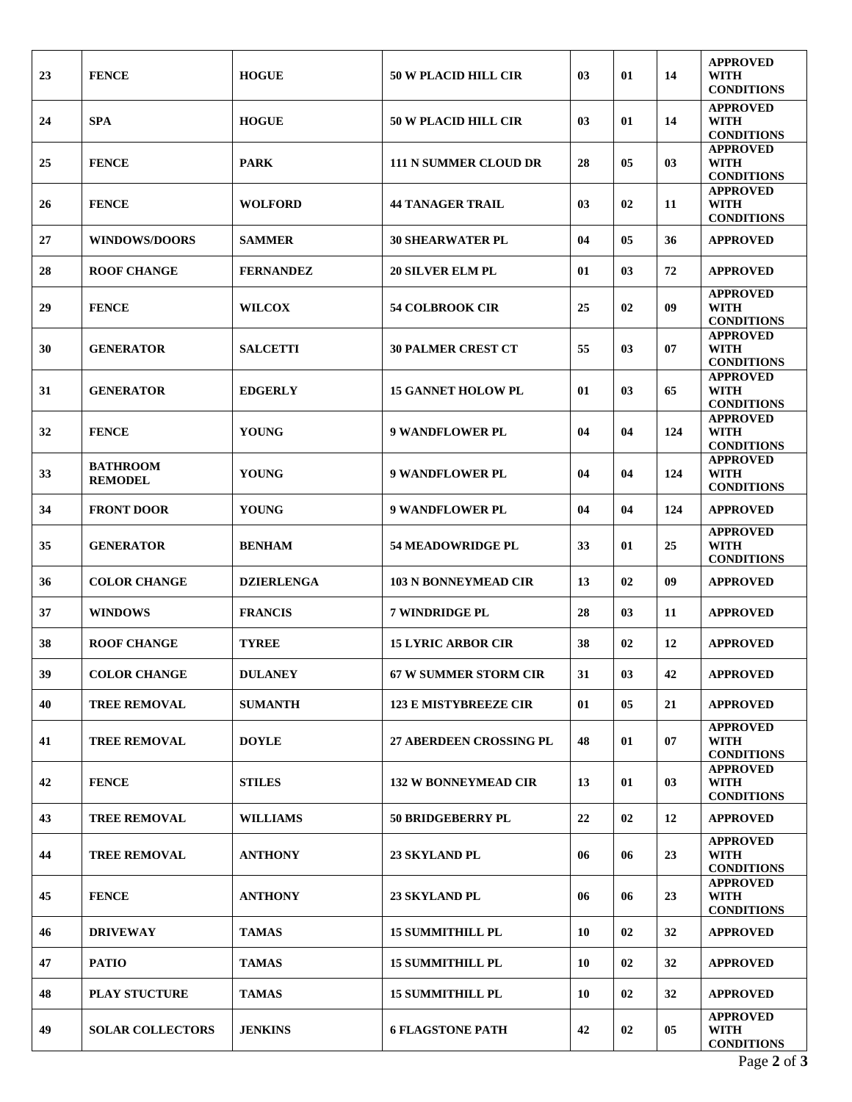| 23 | <b>FENCE</b>                      | <b>HOGUE</b>      | <b>50 W PLACID HILL CIR</b>    | 03 | 01 | 14  | <b>APPROVED</b><br>WITH<br><b>CONDITIONS</b>        |
|----|-----------------------------------|-------------------|--------------------------------|----|----|-----|-----------------------------------------------------|
| 24 | <b>SPA</b>                        | <b>HOGUE</b>      | <b>50 W PLACID HILL CIR</b>    | 03 | 01 | 14  | <b>APPROVED</b><br><b>WITH</b><br><b>CONDITIONS</b> |
| 25 | <b>FENCE</b>                      | <b>PARK</b>       | <b>111 N SUMMER CLOUD DR</b>   | 28 | 05 | 03  | <b>APPROVED</b><br><b>WITH</b><br><b>CONDITIONS</b> |
| 26 | <b>FENCE</b>                      | <b>WOLFORD</b>    | <b>44 TANAGER TRAIL</b>        | 03 | 02 | 11  | <b>APPROVED</b><br><b>WITH</b><br><b>CONDITIONS</b> |
| 27 | <b>WINDOWS/DOORS</b>              | <b>SAMMER</b>     | <b>30 SHEARWATER PL</b>        | 04 | 05 | 36  | <b>APPROVED</b>                                     |
| 28 | <b>ROOF CHANGE</b>                | <b>FERNANDEZ</b>  | <b>20 SILVER ELM PL</b>        | 01 | 03 | 72  | <b>APPROVED</b>                                     |
| 29 | <b>FENCE</b>                      | <b>WILCOX</b>     | <b>54 COLBROOK CIR</b>         | 25 | 02 | 09  | <b>APPROVED</b><br><b>WITH</b><br><b>CONDITIONS</b> |
| 30 | <b>GENERATOR</b>                  | <b>SALCETTI</b>   | <b>30 PALMER CREST CT</b>      | 55 | 03 | 07  | <b>APPROVED</b><br><b>WITH</b><br><b>CONDITIONS</b> |
| 31 | <b>GENERATOR</b>                  | <b>EDGERLY</b>    | <b>15 GANNET HOLOW PL</b>      | 01 | 03 | 65  | <b>APPROVED</b><br><b>WITH</b><br><b>CONDITIONS</b> |
| 32 | <b>FENCE</b>                      | <b>YOUNG</b>      | <b>9 WANDFLOWER PL</b>         | 04 | 04 | 124 | <b>APPROVED</b><br><b>WITH</b><br><b>CONDITIONS</b> |
| 33 | <b>BATHROOM</b><br><b>REMODEL</b> | <b>YOUNG</b>      | <b>9 WANDFLOWER PL</b>         | 04 | 04 | 124 | <b>APPROVED</b><br><b>WITH</b><br><b>CONDITIONS</b> |
| 34 | <b>FRONT DOOR</b>                 | <b>YOUNG</b>      | <b>9 WANDFLOWER PL</b>         | 04 | 04 | 124 | <b>APPROVED</b>                                     |
| 35 | <b>GENERATOR</b>                  | <b>BENHAM</b>     | <b>54 MEADOWRIDGE PL</b>       | 33 | 01 | 25  | <b>APPROVED</b><br><b>WITH</b><br><b>CONDITIONS</b> |
| 36 | <b>COLOR CHANGE</b>               | <b>DZIERLENGA</b> | <b>103 N BONNEYMEAD CIR</b>    | 13 | 02 | 09  | <b>APPROVED</b>                                     |
| 37 | <b>WINDOWS</b>                    | <b>FRANCIS</b>    | 7 WINDRIDGE PL                 | 28 | 03 | 11  | <b>APPROVED</b>                                     |
| 38 | <b>ROOF CHANGE</b>                | <b>TYREE</b>      | <b>15 LYRIC ARBOR CIR</b>      | 38 | 02 | 12  | <b>APPROVED</b>                                     |
| 39 | <b>COLOR CHANGE</b>               | <b>DULANEY</b>    | <b>67 W SUMMER STORM CIR</b>   | 31 | 03 | 42  | <b>APPROVED</b>                                     |
| 40 | <b>TREE REMOVAL</b>               | <b>SUMANTH</b>    | <b>123 E MISTYBREEZE CIR</b>   | 01 | 05 | 21  | <b>APPROVED</b>                                     |
| 41 | <b>TREE REMOVAL</b>               | <b>DOYLE</b>      | <b>27 ABERDEEN CROSSING PL</b> | 48 | 01 | 07  | <b>APPROVED</b><br><b>WITH</b><br><b>CONDITIONS</b> |
| 42 | <b>FENCE</b>                      | <b>STILES</b>     | <b>132 W BONNEYMEAD CIR</b>    | 13 | 01 | 03  | <b>APPROVED</b><br><b>WITH</b><br><b>CONDITIONS</b> |
| 43 | <b>TREE REMOVAL</b>               | <b>WILLIAMS</b>   | 50 BRIDGEBERRY PL              | 22 | 02 | 12  | <b>APPROVED</b>                                     |
| 44 | <b>TREE REMOVAL</b>               | <b>ANTHONY</b>    | <b>23 SKYLAND PL</b>           | 06 | 06 | 23  | <b>APPROVED</b><br><b>WITH</b><br><b>CONDITIONS</b> |
| 45 | <b>FENCE</b>                      | <b>ANTHONY</b>    | <b>23 SKYLAND PL</b>           | 06 | 06 | 23  | <b>APPROVED</b><br><b>WITH</b><br><b>CONDITIONS</b> |
| 46 | <b>DRIVEWAY</b>                   | <b>TAMAS</b>      | <b>15 SUMMITHILL PL</b>        | 10 | 02 | 32  | <b>APPROVED</b>                                     |
| 47 | <b>PATIO</b>                      | <b>TAMAS</b>      | <b>15 SUMMITHILL PL</b>        | 10 | 02 | 32  | <b>APPROVED</b>                                     |
| 48 | <b>PLAY STUCTURE</b>              | <b>TAMAS</b>      | <b>15 SUMMITHILL PL</b>        | 10 | 02 | 32  | <b>APPROVED</b>                                     |
| 49 | <b>SOLAR COLLECTORS</b>           | <b>JENKINS</b>    | <b>6 FLAGSTONE PATH</b>        | 42 | 02 | 05  | <b>APPROVED</b><br><b>WITH</b><br><b>CONDITIONS</b> |